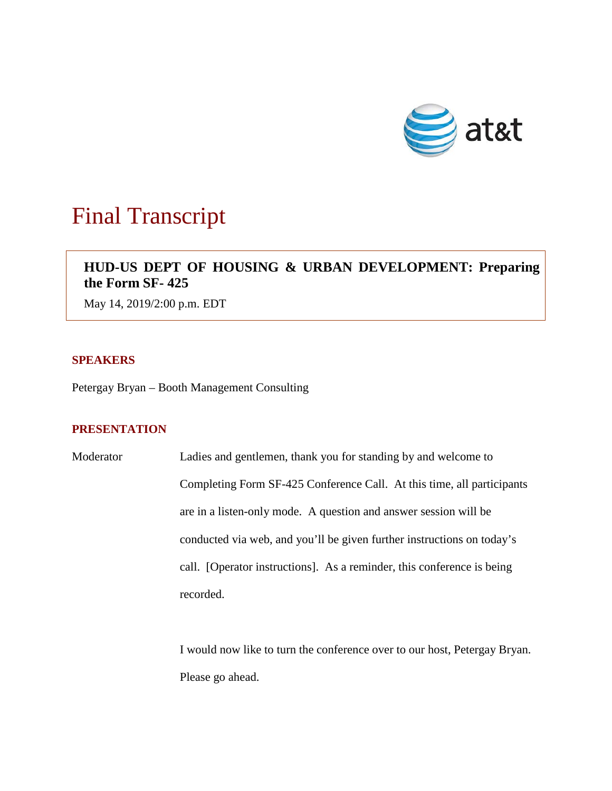

# Final Transcript

# **HUD-US DEPT OF HOUSING & URBAN DEVELOPMENT: Preparing the Form SF- 425**

May 14, 2019/2:00 p.m. EDT

### **SPEAKERS**

Petergay Bryan – Booth Management Consulting

## **PRESENTATION**

Moderator Ladies and gentlemen, thank you for standing by and welcome to Completing Form SF-425 Conference Call. At this time, all participants are in a listen-only mode. A question and answer session will be conducted via web, and you'll be given further instructions on today's call. [Operator instructions]. As a reminder, this conference is being recorded.

> I would now like to turn the conference over to our host, Petergay Bryan. Please go ahead.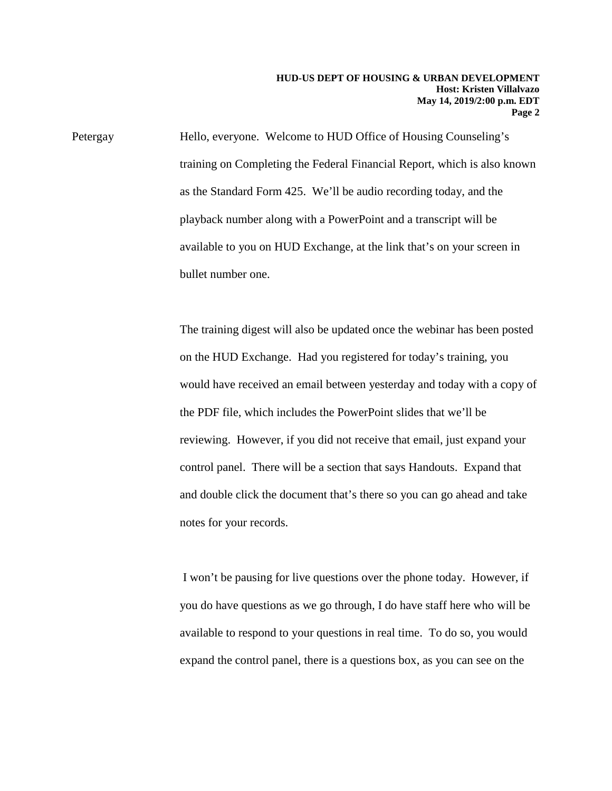Petergay Hello, everyone. Welcome to HUD Office of Housing Counseling's training on Completing the Federal Financial Report, which is also known as the Standard Form 425. We'll be audio recording today, and the playback number along with a PowerPoint and a transcript will be available to you on HUD Exchange, at the link that's on your screen in bullet number one.

> The training digest will also be updated once the webinar has been posted on the HUD Exchange. Had you registered for today's training, you would have received an email between yesterday and today with a copy of the PDF file, which includes the PowerPoint slides that we'll be reviewing. However, if you did not receive that email, just expand your control panel. There will be a section that says Handouts. Expand that and double click the document that's there so you can go ahead and take notes for your records.

I won't be pausing for live questions over the phone today. However, if you do have questions as we go through, I do have staff here who will be available to respond to your questions in real time. To do so, you would expand the control panel, there is a questions box, as you can see on the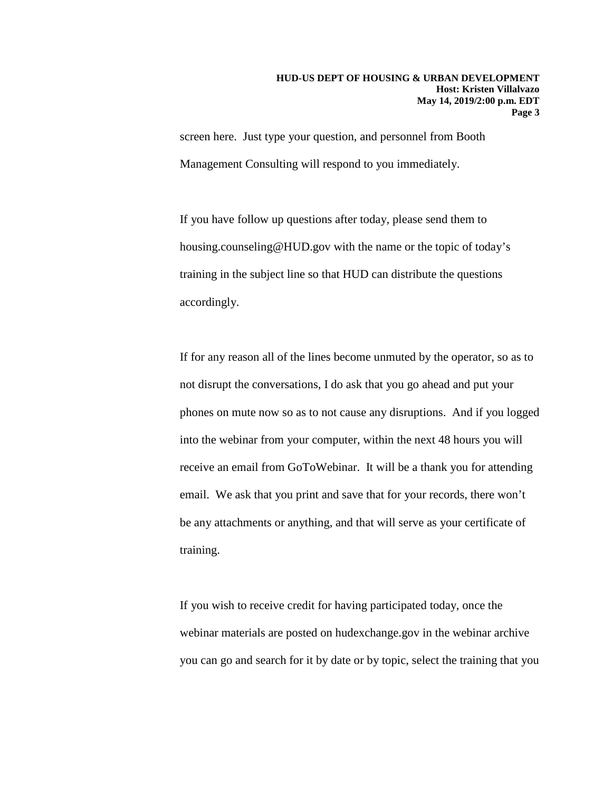screen here. Just type your question, and personnel from Booth Management Consulting will respond to you immediately.

If you have follow up questions after today, please send them to housing.counseling@HUD.gov with the name or the topic of today's training in the subject line so that HUD can distribute the questions accordingly.

If for any reason all of the lines become unmuted by the operator, so as to not disrupt the conversations, I do ask that you go ahead and put your phones on mute now so as to not cause any disruptions. And if you logged into the webinar from your computer, within the next 48 hours you will receive an email from GoToWebinar. It will be a thank you for attending email. We ask that you print and save that for your records, there won't be any attachments or anything, and that will serve as your certificate of training.

If you wish to receive credit for having participated today, once the webinar materials are posted on hudexchange.gov in the webinar archive you can go and search for it by date or by topic, select the training that you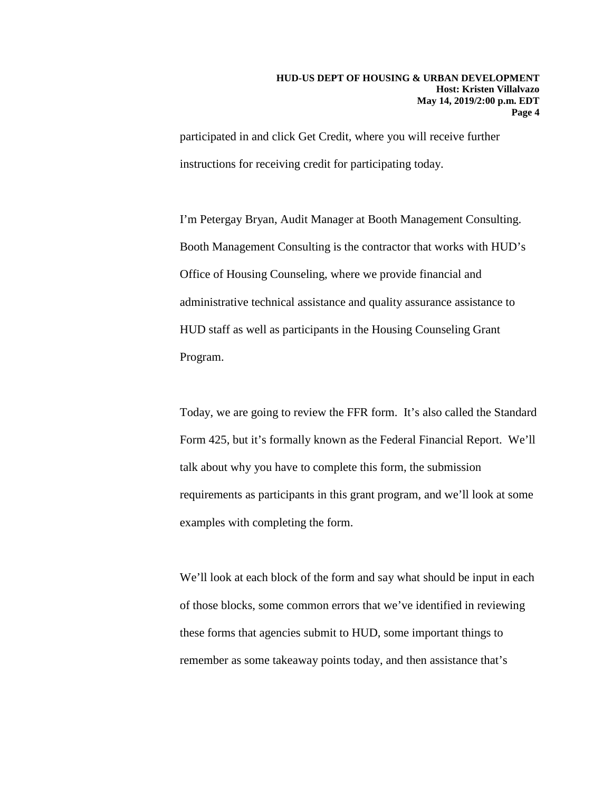participated in and click Get Credit, where you will receive further instructions for receiving credit for participating today.

I'm Petergay Bryan, Audit Manager at Booth Management Consulting. Booth Management Consulting is the contractor that works with HUD's Office of Housing Counseling, where we provide financial and administrative technical assistance and quality assurance assistance to HUD staff as well as participants in the Housing Counseling Grant Program.

Today, we are going to review the FFR form. It's also called the Standard Form 425, but it's formally known as the Federal Financial Report. We'll talk about why you have to complete this form, the submission requirements as participants in this grant program, and we'll look at some examples with completing the form.

We'll look at each block of the form and say what should be input in each of those blocks, some common errors that we've identified in reviewing these forms that agencies submit to HUD, some important things to remember as some takeaway points today, and then assistance that's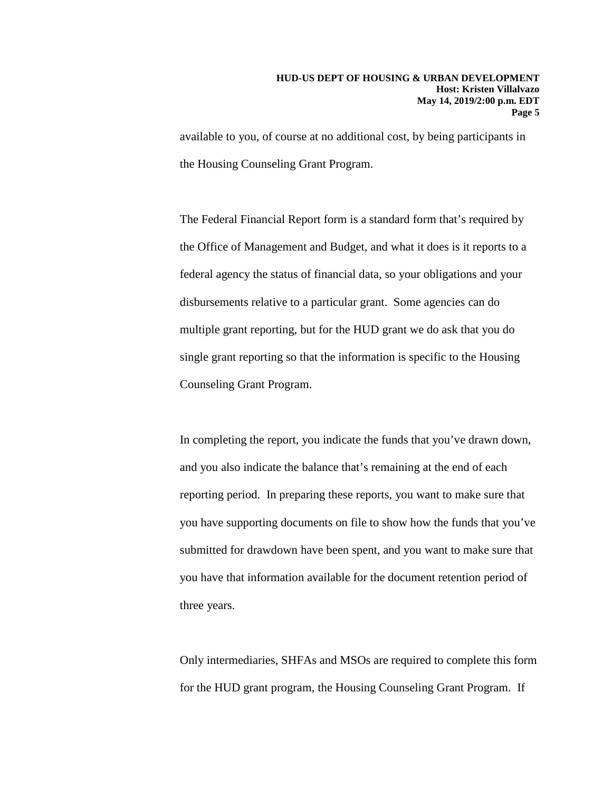available to you, of course at no additional cost, by being participants in the Housing Counseling Grant Program.

The Federal Financial Report form is a standard form that's required by the Office of Management and Budget, and what it does is it reports to a federal agency the status of financial data, so your obligations and your disbursements relative to a particular grant. Some agencies can do multiple grant reporting, but for the HUD grant we do ask that you do single grant reporting so that the information is specific to the Housing Counseling Grant Program.

In completing the report, you indicate the funds that you've drawn down, and you also indicate the balance that's remaining at the end of each reporting period. In preparing these reports, you want to make sure that you have supporting documents on file to show how the funds that you've submitted for drawdown have been spent, and you want to make sure that you have that information available for the document retention period of three years.

Only intermediaries, SHFAs and MSOs are required to complete this form for the HUD grant program, the Housing Counseling Grant Program. If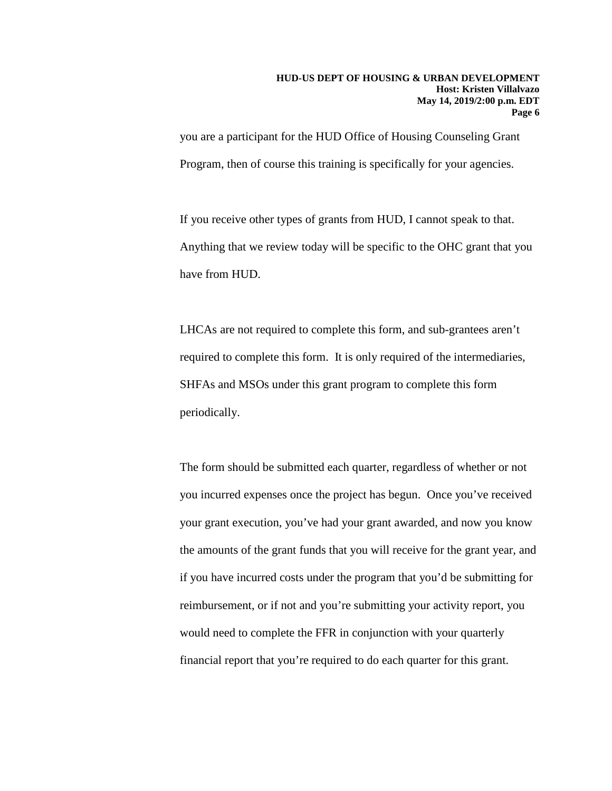you are a participant for the HUD Office of Housing Counseling Grant Program, then of course this training is specifically for your agencies.

If you receive other types of grants from HUD, I cannot speak to that. Anything that we review today will be specific to the OHC grant that you have from HUD.

LHCAs are not required to complete this form, and sub-grantees aren't required to complete this form. It is only required of the intermediaries, SHFAs and MSOs under this grant program to complete this form periodically.

The form should be submitted each quarter, regardless of whether or not you incurred expenses once the project has begun. Once you've received your grant execution, you've had your grant awarded, and now you know the amounts of the grant funds that you will receive for the grant year, and if you have incurred costs under the program that you'd be submitting for reimbursement, or if not and you're submitting your activity report, you would need to complete the FFR in conjunction with your quarterly financial report that you're required to do each quarter for this grant.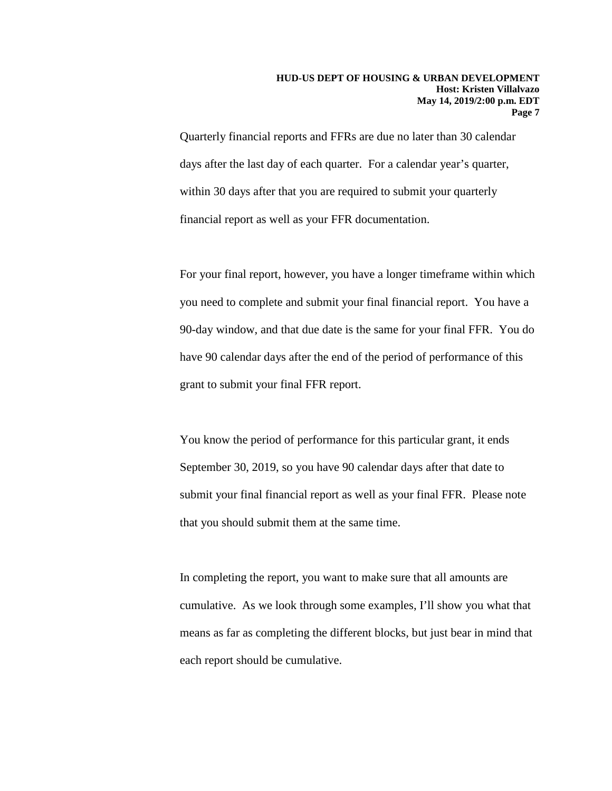Quarterly financial reports and FFRs are due no later than 30 calendar days after the last day of each quarter. For a calendar year's quarter, within 30 days after that you are required to submit your quarterly financial report as well as your FFR documentation.

For your final report, however, you have a longer timeframe within which you need to complete and submit your final financial report. You have a 90-day window, and that due date is the same for your final FFR. You do have 90 calendar days after the end of the period of performance of this grant to submit your final FFR report.

You know the period of performance for this particular grant, it ends September 30, 2019, so you have 90 calendar days after that date to submit your final financial report as well as your final FFR. Please note that you should submit them at the same time.

In completing the report, you want to make sure that all amounts are cumulative. As we look through some examples, I'll show you what that means as far as completing the different blocks, but just bear in mind that each report should be cumulative.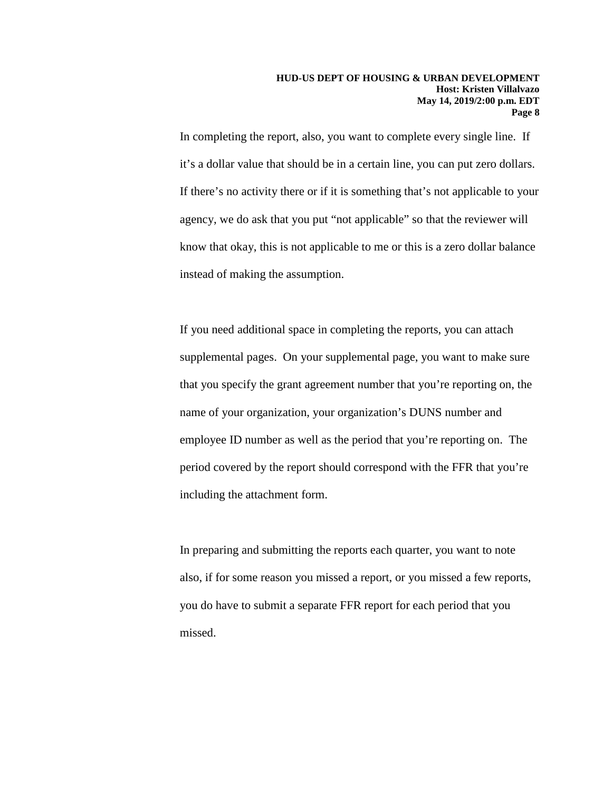In completing the report, also, you want to complete every single line. If it's a dollar value that should be in a certain line, you can put zero dollars. If there's no activity there or if it is something that's not applicable to your agency, we do ask that you put "not applicable" so that the reviewer will know that okay, this is not applicable to me or this is a zero dollar balance instead of making the assumption.

If you need additional space in completing the reports, you can attach supplemental pages. On your supplemental page, you want to make sure that you specify the grant agreement number that you're reporting on, the name of your organization, your organization's DUNS number and employee ID number as well as the period that you're reporting on. The period covered by the report should correspond with the FFR that you're including the attachment form.

In preparing and submitting the reports each quarter, you want to note also, if for some reason you missed a report, or you missed a few reports, you do have to submit a separate FFR report for each period that you missed.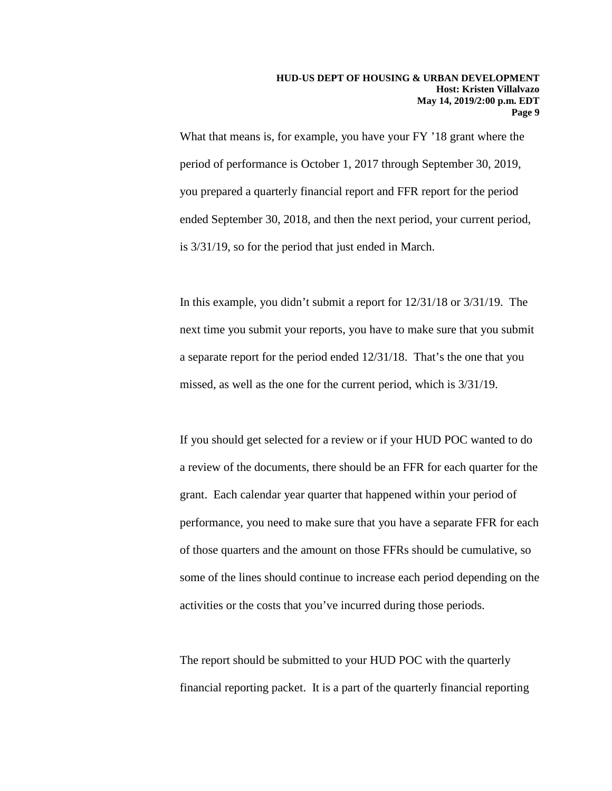What that means is, for example, you have your FY '18 grant where the period of performance is October 1, 2017 through September 30, 2019, you prepared a quarterly financial report and FFR report for the period ended September 30, 2018, and then the next period, your current period, is 3/31/19, so for the period that just ended in March.

In this example, you didn't submit a report for 12/31/18 or 3/31/19. The next time you submit your reports, you have to make sure that you submit a separate report for the period ended 12/31/18. That's the one that you missed, as well as the one for the current period, which is 3/31/19.

If you should get selected for a review or if your HUD POC wanted to do a review of the documents, there should be an FFR for each quarter for the grant. Each calendar year quarter that happened within your period of performance, you need to make sure that you have a separate FFR for each of those quarters and the amount on those FFRs should be cumulative, so some of the lines should continue to increase each period depending on the activities or the costs that you've incurred during those periods.

The report should be submitted to your HUD POC with the quarterly financial reporting packet. It is a part of the quarterly financial reporting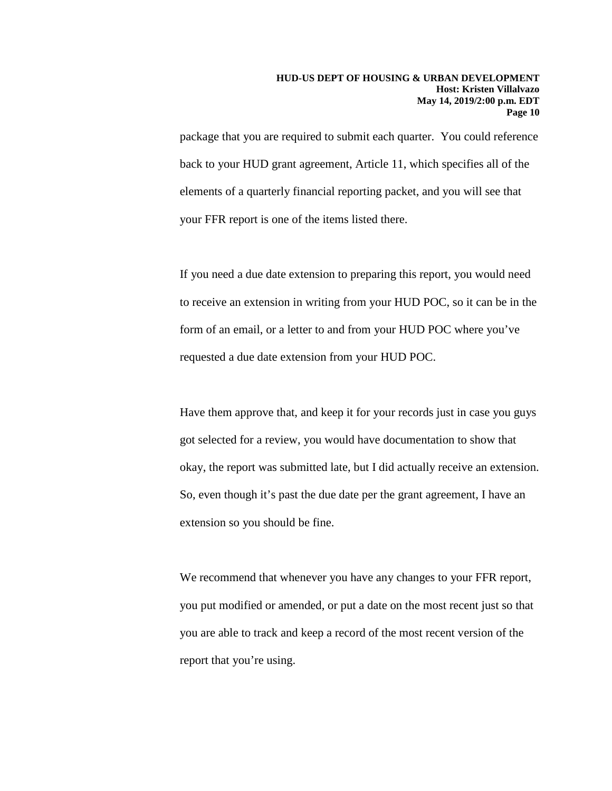package that you are required to submit each quarter. You could reference back to your HUD grant agreement, Article 11, which specifies all of the elements of a quarterly financial reporting packet, and you will see that your FFR report is one of the items listed there.

If you need a due date extension to preparing this report, you would need to receive an extension in writing from your HUD POC, so it can be in the form of an email, or a letter to and from your HUD POC where you've requested a due date extension from your HUD POC.

Have them approve that, and keep it for your records just in case you guys got selected for a review, you would have documentation to show that okay, the report was submitted late, but I did actually receive an extension. So, even though it's past the due date per the grant agreement, I have an extension so you should be fine.

We recommend that whenever you have any changes to your FFR report, you put modified or amended, or put a date on the most recent just so that you are able to track and keep a record of the most recent version of the report that you're using.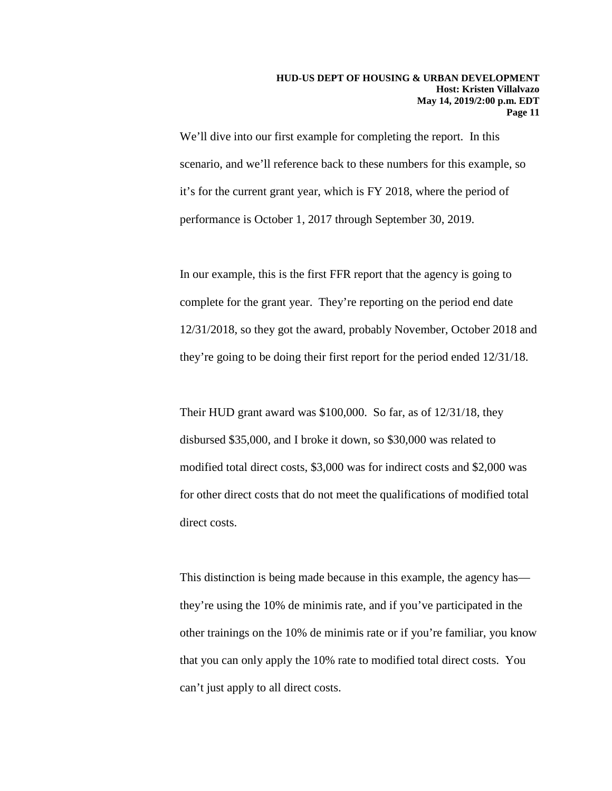We'll dive into our first example for completing the report. In this scenario, and we'll reference back to these numbers for this example, so it's for the current grant year, which is FY 2018, where the period of performance is October 1, 2017 through September 30, 2019.

In our example, this is the first FFR report that the agency is going to complete for the grant year. They're reporting on the period end date 12/31/2018, so they got the award, probably November, October 2018 and they're going to be doing their first report for the period ended 12/31/18.

Their HUD grant award was \$100,000. So far, as of 12/31/18, they disbursed \$35,000, and I broke it down, so \$30,000 was related to modified total direct costs, \$3,000 was for indirect costs and \$2,000 was for other direct costs that do not meet the qualifications of modified total direct costs.

This distinction is being made because in this example, the agency has they're using the 10% de minimis rate, and if you've participated in the other trainings on the 10% de minimis rate or if you're familiar, you know that you can only apply the 10% rate to modified total direct costs. You can't just apply to all direct costs.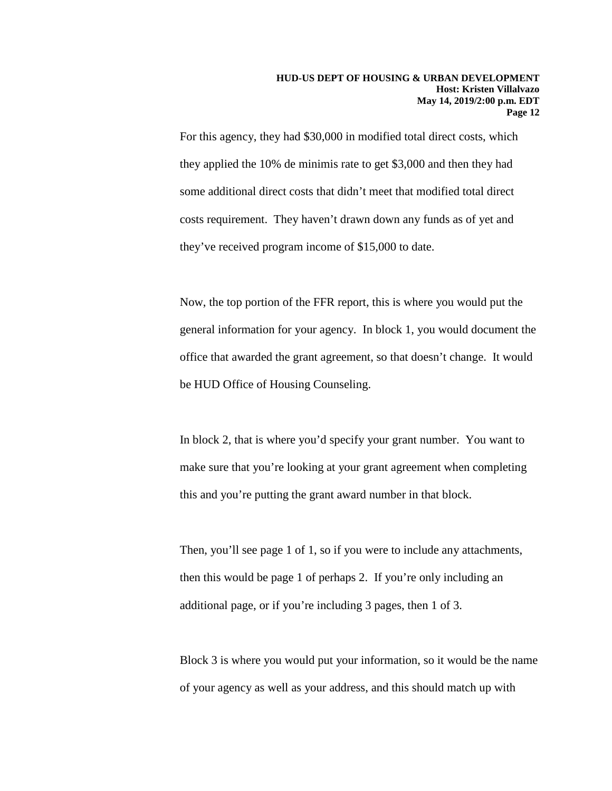For this agency, they had \$30,000 in modified total direct costs, which they applied the 10% de minimis rate to get \$3,000 and then they had some additional direct costs that didn't meet that modified total direct costs requirement. They haven't drawn down any funds as of yet and they've received program income of \$15,000 to date.

Now, the top portion of the FFR report, this is where you would put the general information for your agency. In block 1, you would document the office that awarded the grant agreement, so that doesn't change. It would be HUD Office of Housing Counseling.

In block 2, that is where you'd specify your grant number. You want to make sure that you're looking at your grant agreement when completing this and you're putting the grant award number in that block.

Then, you'll see page 1 of 1, so if you were to include any attachments, then this would be page 1 of perhaps 2. If you're only including an additional page, or if you're including 3 pages, then 1 of 3.

Block 3 is where you would put your information, so it would be the name of your agency as well as your address, and this should match up with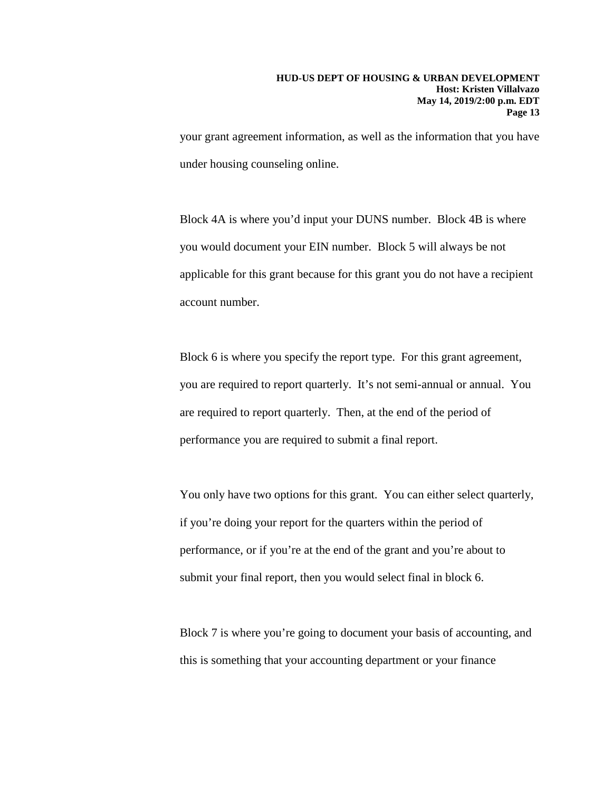your grant agreement information, as well as the information that you have under housing counseling online.

Block 4A is where you'd input your DUNS number. Block 4B is where you would document your EIN number. Block 5 will always be not applicable for this grant because for this grant you do not have a recipient account number.

Block 6 is where you specify the report type. For this grant agreement, you are required to report quarterly. It's not semi-annual or annual. You are required to report quarterly. Then, at the end of the period of performance you are required to submit a final report.

You only have two options for this grant. You can either select quarterly, if you're doing your report for the quarters within the period of performance, or if you're at the end of the grant and you're about to submit your final report, then you would select final in block 6.

Block 7 is where you're going to document your basis of accounting, and this is something that your accounting department or your finance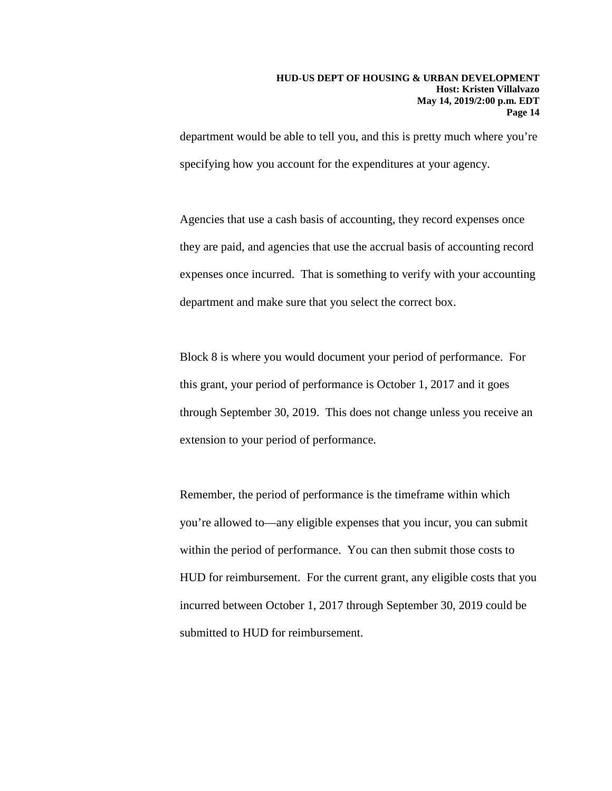department would be able to tell you, and this is pretty much where you're specifying how you account for the expenditures at your agency.

Agencies that use a cash basis of accounting, they record expenses once they are paid, and agencies that use the accrual basis of accounting record expenses once incurred. That is something to verify with your accounting department and make sure that you select the correct box.

Block 8 is where you would document your period of performance. For this grant, your period of performance is October 1, 2017 and it goes through September 30, 2019. This does not change unless you receive an extension to your period of performance.

Remember, the period of performance is the timeframe within which you're allowed to—any eligible expenses that you incur, you can submit within the period of performance. You can then submit those costs to HUD for reimbursement. For the current grant, any eligible costs that you incurred between October 1, 2017 through September 30, 2019 could be submitted to HUD for reimbursement.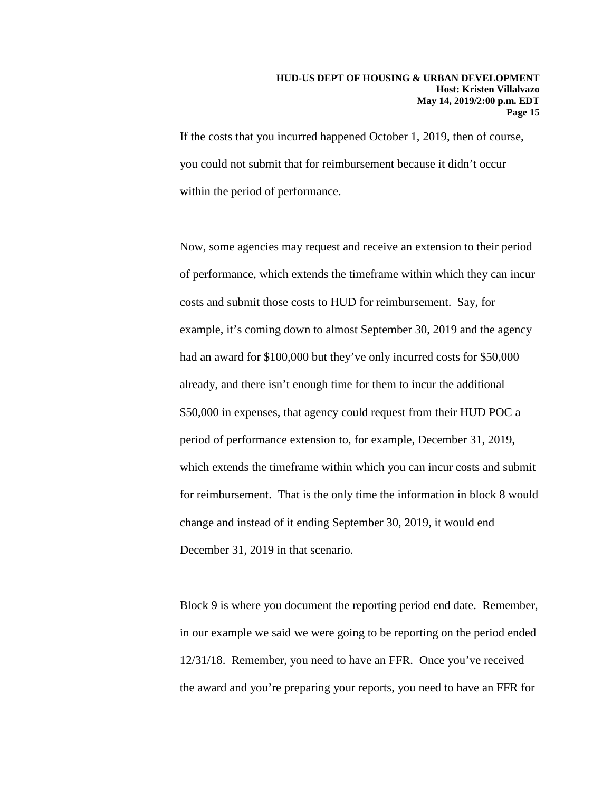If the costs that you incurred happened October 1, 2019, then of course, you could not submit that for reimbursement because it didn't occur within the period of performance.

Now, some agencies may request and receive an extension to their period of performance, which extends the timeframe within which they can incur costs and submit those costs to HUD for reimbursement. Say, for example, it's coming down to almost September 30, 2019 and the agency had an award for \$100,000 but they've only incurred costs for \$50,000 already, and there isn't enough time for them to incur the additional \$50,000 in expenses, that agency could request from their HUD POC a period of performance extension to, for example, December 31, 2019, which extends the timeframe within which you can incur costs and submit for reimbursement. That is the only time the information in block 8 would change and instead of it ending September 30, 2019, it would end December 31, 2019 in that scenario.

Block 9 is where you document the reporting period end date. Remember, in our example we said we were going to be reporting on the period ended 12/31/18. Remember, you need to have an FFR. Once you've received the award and you're preparing your reports, you need to have an FFR for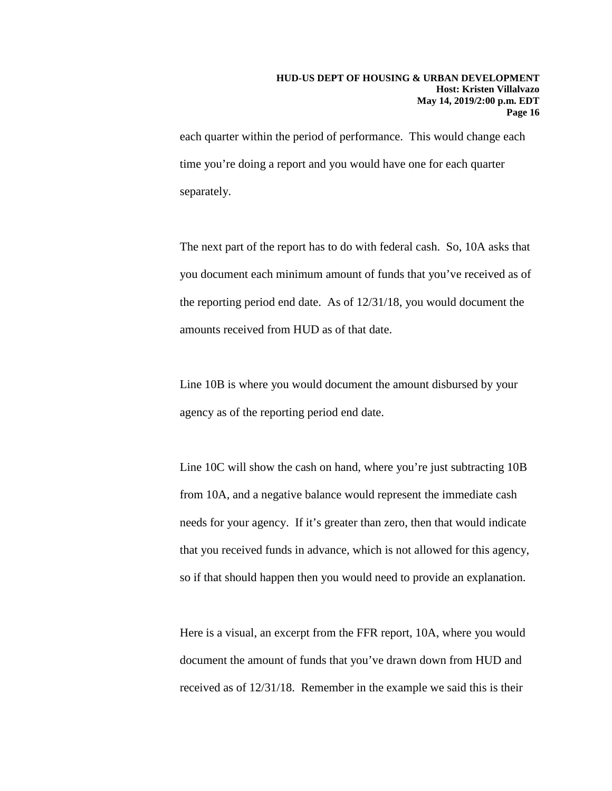each quarter within the period of performance. This would change each time you're doing a report and you would have one for each quarter separately.

The next part of the report has to do with federal cash. So, 10A asks that you document each minimum amount of funds that you've received as of the reporting period end date. As of 12/31/18, you would document the amounts received from HUD as of that date.

Line 10B is where you would document the amount disbursed by your agency as of the reporting period end date.

Line 10C will show the cash on hand, where you're just subtracting 10B from 10A, and a negative balance would represent the immediate cash needs for your agency. If it's greater than zero, then that would indicate that you received funds in advance, which is not allowed for this agency, so if that should happen then you would need to provide an explanation.

Here is a visual, an excerpt from the FFR report, 10A, where you would document the amount of funds that you've drawn down from HUD and received as of 12/31/18. Remember in the example we said this is their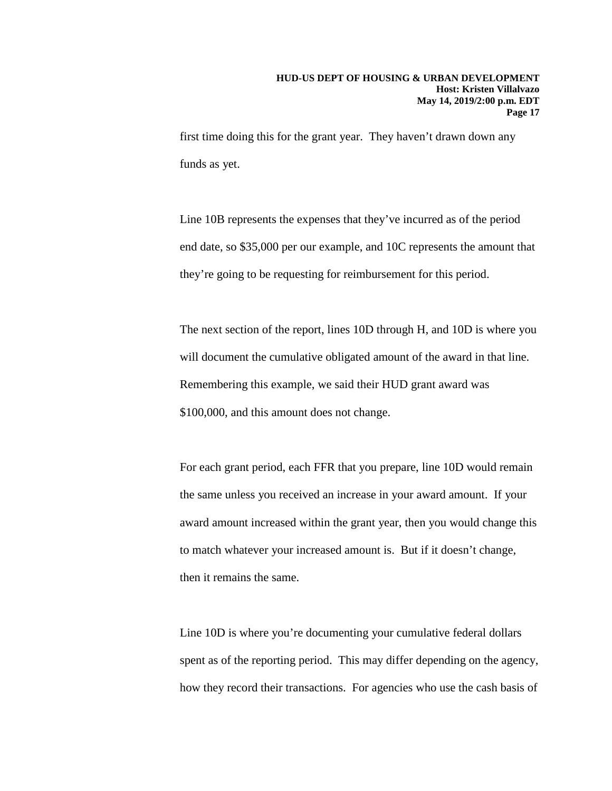first time doing this for the grant year. They haven't drawn down any funds as yet.

Line 10B represents the expenses that they've incurred as of the period end date, so \$35,000 per our example, and 10C represents the amount that they're going to be requesting for reimbursement for this period.

The next section of the report, lines 10D through H, and 10D is where you will document the cumulative obligated amount of the award in that line. Remembering this example, we said their HUD grant award was \$100,000, and this amount does not change.

For each grant period, each FFR that you prepare, line 10D would remain the same unless you received an increase in your award amount. If your award amount increased within the grant year, then you would change this to match whatever your increased amount is. But if it doesn't change, then it remains the same.

Line 10D is where you're documenting your cumulative federal dollars spent as of the reporting period. This may differ depending on the agency, how they record their transactions. For agencies who use the cash basis of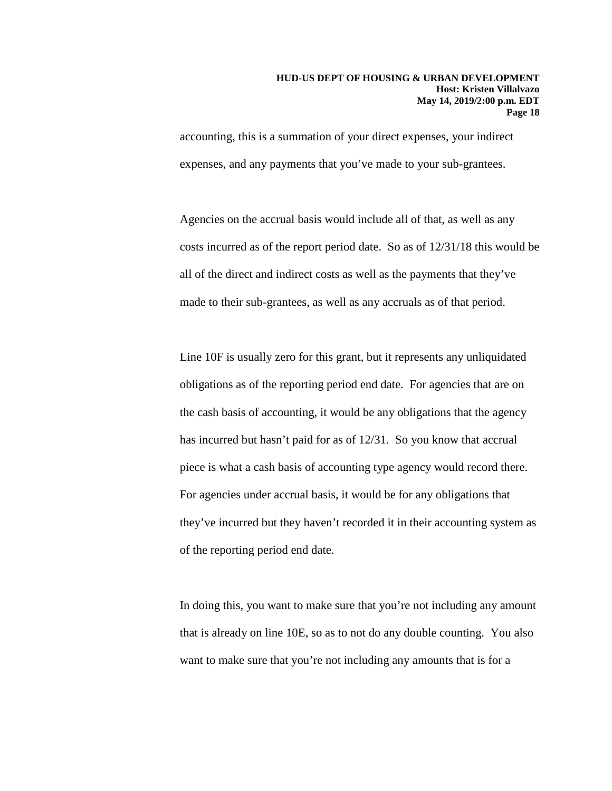accounting, this is a summation of your direct expenses, your indirect expenses, and any payments that you've made to your sub-grantees.

Agencies on the accrual basis would include all of that, as well as any costs incurred as of the report period date. So as of 12/31/18 this would be all of the direct and indirect costs as well as the payments that they've made to their sub-grantees, as well as any accruals as of that period.

Line 10F is usually zero for this grant, but it represents any unliquidated obligations as of the reporting period end date. For agencies that are on the cash basis of accounting, it would be any obligations that the agency has incurred but hasn't paid for as of 12/31. So you know that accrual piece is what a cash basis of accounting type agency would record there. For agencies under accrual basis, it would be for any obligations that they've incurred but they haven't recorded it in their accounting system as of the reporting period end date.

In doing this, you want to make sure that you're not including any amount that is already on line 10E, so as to not do any double counting. You also want to make sure that you're not including any amounts that is for a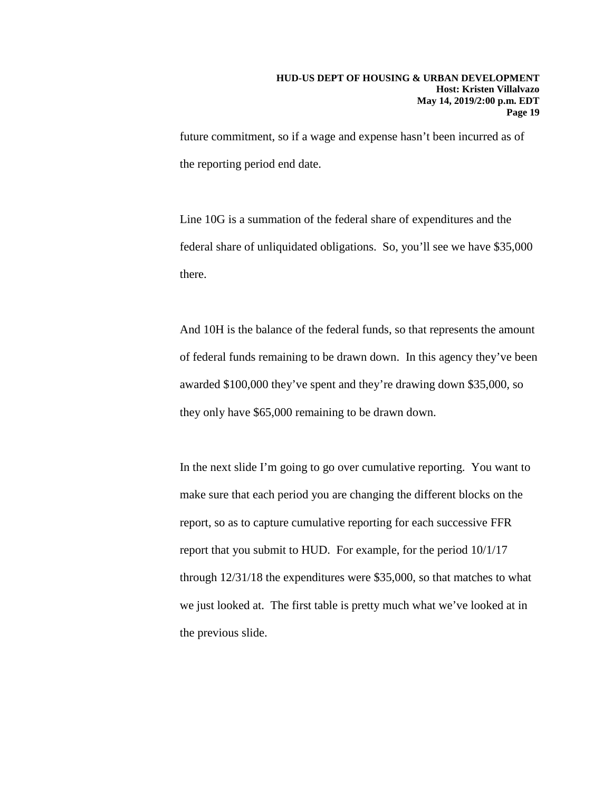future commitment, so if a wage and expense hasn't been incurred as of the reporting period end date.

Line 10G is a summation of the federal share of expenditures and the federal share of unliquidated obligations. So, you'll see we have \$35,000 there.

And 10H is the balance of the federal funds, so that represents the amount of federal funds remaining to be drawn down. In this agency they've been awarded \$100,000 they've spent and they're drawing down \$35,000, so they only have \$65,000 remaining to be drawn down.

In the next slide I'm going to go over cumulative reporting. You want to make sure that each period you are changing the different blocks on the report, so as to capture cumulative reporting for each successive FFR report that you submit to HUD. For example, for the period 10/1/17 through 12/31/18 the expenditures were \$35,000, so that matches to what we just looked at. The first table is pretty much what we've looked at in the previous slide.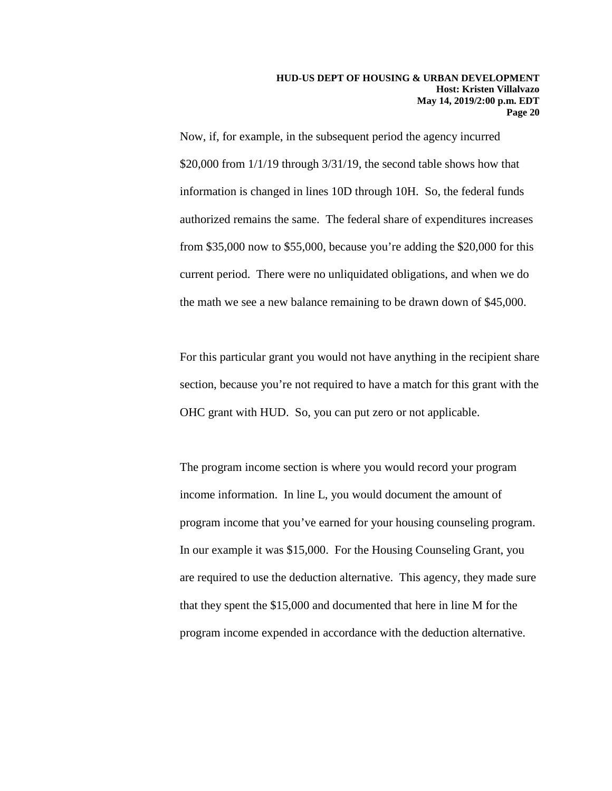Now, if, for example, in the subsequent period the agency incurred \$20,000 from 1/1/19 through 3/31/19, the second table shows how that information is changed in lines 10D through 10H. So, the federal funds authorized remains the same. The federal share of expenditures increases from \$35,000 now to \$55,000, because you're adding the \$20,000 for this current period. There were no unliquidated obligations, and when we do the math we see a new balance remaining to be drawn down of \$45,000.

For this particular grant you would not have anything in the recipient share section, because you're not required to have a match for this grant with the OHC grant with HUD. So, you can put zero or not applicable.

The program income section is where you would record your program income information. In line L, you would document the amount of program income that you've earned for your housing counseling program. In our example it was \$15,000. For the Housing Counseling Grant, you are required to use the deduction alternative. This agency, they made sure that they spent the \$15,000 and documented that here in line M for the program income expended in accordance with the deduction alternative.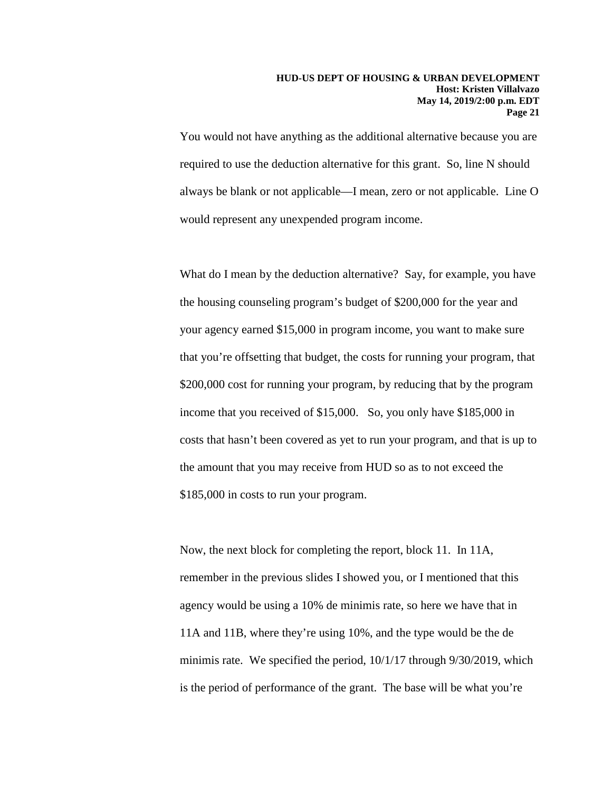You would not have anything as the additional alternative because you are required to use the deduction alternative for this grant. So, line N should always be blank or not applicable—I mean, zero or not applicable. Line O would represent any unexpended program income.

What do I mean by the deduction alternative? Say, for example, you have the housing counseling program's budget of \$200,000 for the year and your agency earned \$15,000 in program income, you want to make sure that you're offsetting that budget, the costs for running your program, that \$200,000 cost for running your program, by reducing that by the program income that you received of \$15,000. So, you only have \$185,000 in costs that hasn't been covered as yet to run your program, and that is up to the amount that you may receive from HUD so as to not exceed the \$185,000 in costs to run your program.

Now, the next block for completing the report, block 11. In 11A, remember in the previous slides I showed you, or I mentioned that this agency would be using a 10% de minimis rate, so here we have that in 11A and 11B, where they're using 10%, and the type would be the de minimis rate. We specified the period, 10/1/17 through 9/30/2019, which is the period of performance of the grant. The base will be what you're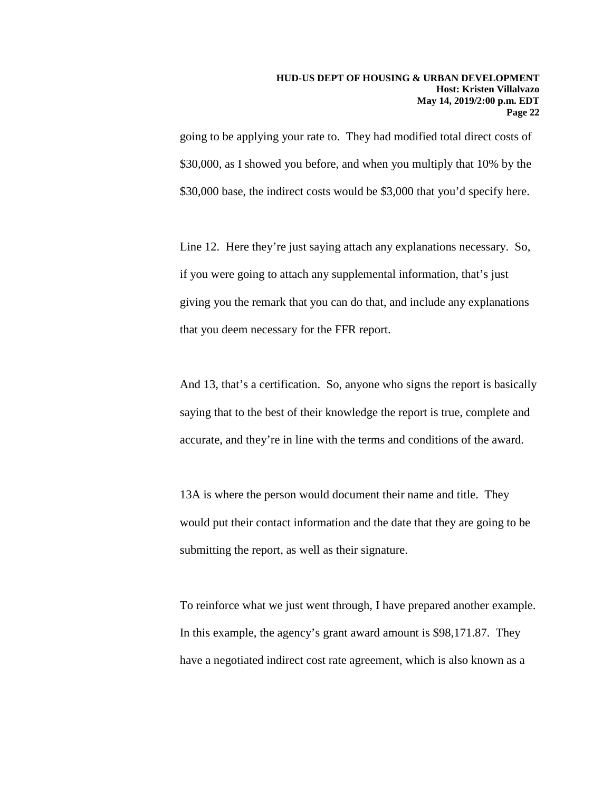going to be applying your rate to. They had modified total direct costs of \$30,000, as I showed you before, and when you multiply that 10% by the \$30,000 base, the indirect costs would be \$3,000 that you'd specify here.

Line 12. Here they're just saying attach any explanations necessary. So, if you were going to attach any supplemental information, that's just giving you the remark that you can do that, and include any explanations that you deem necessary for the FFR report.

And 13, that's a certification. So, anyone who signs the report is basically saying that to the best of their knowledge the report is true, complete and accurate, and they're in line with the terms and conditions of the award.

13A is where the person would document their name and title. They would put their contact information and the date that they are going to be submitting the report, as well as their signature.

To reinforce what we just went through, I have prepared another example. In this example, the agency's grant award amount is \$98,171.87. They have a negotiated indirect cost rate agreement, which is also known as a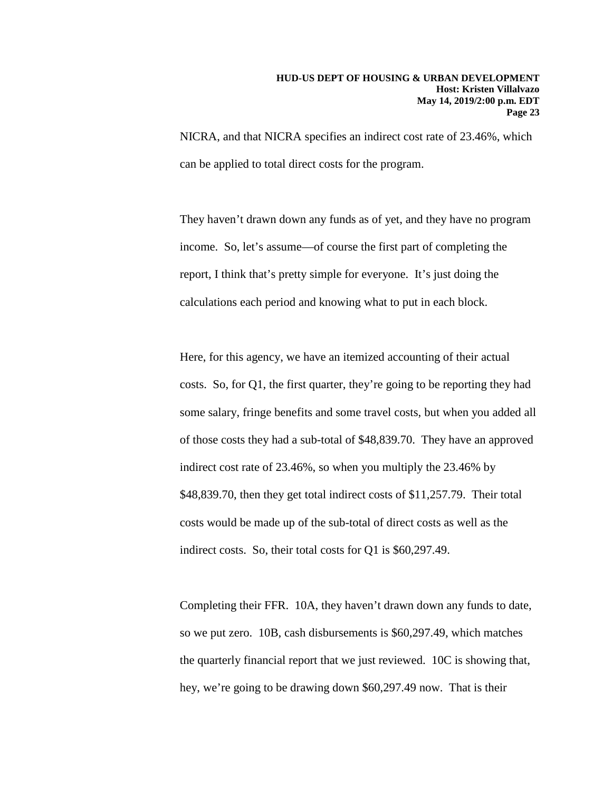NICRA, and that NICRA specifies an indirect cost rate of 23.46%, which can be applied to total direct costs for the program.

They haven't drawn down any funds as of yet, and they have no program income. So, let's assume—of course the first part of completing the report, I think that's pretty simple for everyone. It's just doing the calculations each period and knowing what to put in each block.

Here, for this agency, we have an itemized accounting of their actual costs. So, for Q1, the first quarter, they're going to be reporting they had some salary, fringe benefits and some travel costs, but when you added all of those costs they had a sub-total of \$48,839.70. They have an approved indirect cost rate of 23.46%, so when you multiply the 23.46% by \$48,839.70, then they get total indirect costs of \$11,257.79. Their total costs would be made up of the sub-total of direct costs as well as the indirect costs. So, their total costs for Q1 is \$60,297.49.

Completing their FFR. 10A, they haven't drawn down any funds to date, so we put zero. 10B, cash disbursements is \$60,297.49, which matches the quarterly financial report that we just reviewed. 10C is showing that, hey, we're going to be drawing down \$60,297.49 now. That is their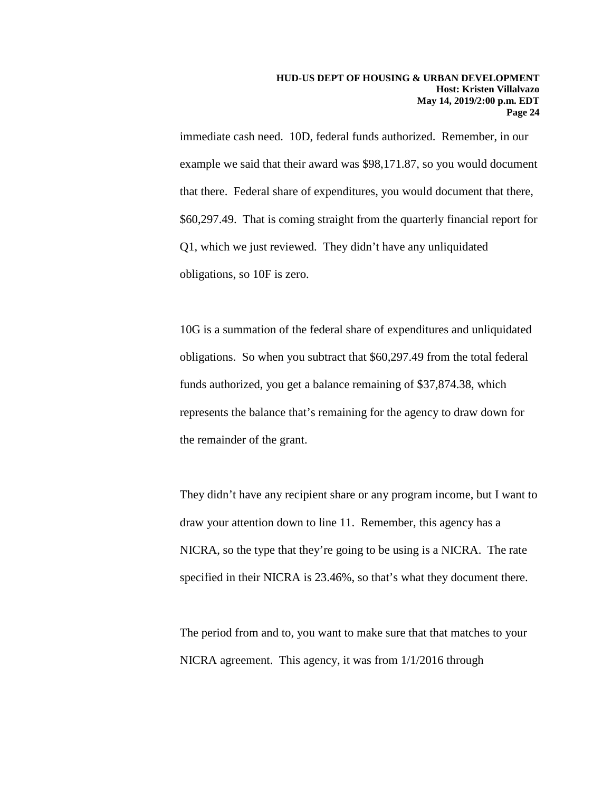immediate cash need. 10D, federal funds authorized. Remember, in our example we said that their award was \$98,171.87, so you would document that there. Federal share of expenditures, you would document that there, \$60,297.49. That is coming straight from the quarterly financial report for Q1, which we just reviewed. They didn't have any unliquidated obligations, so 10F is zero.

10G is a summation of the federal share of expenditures and unliquidated obligations. So when you subtract that \$60,297.49 from the total federal funds authorized, you get a balance remaining of \$37,874.38, which represents the balance that's remaining for the agency to draw down for the remainder of the grant.

They didn't have any recipient share or any program income, but I want to draw your attention down to line 11. Remember, this agency has a NICRA, so the type that they're going to be using is a NICRA. The rate specified in their NICRA is 23.46%, so that's what they document there.

The period from and to, you want to make sure that that matches to your NICRA agreement. This agency, it was from 1/1/2016 through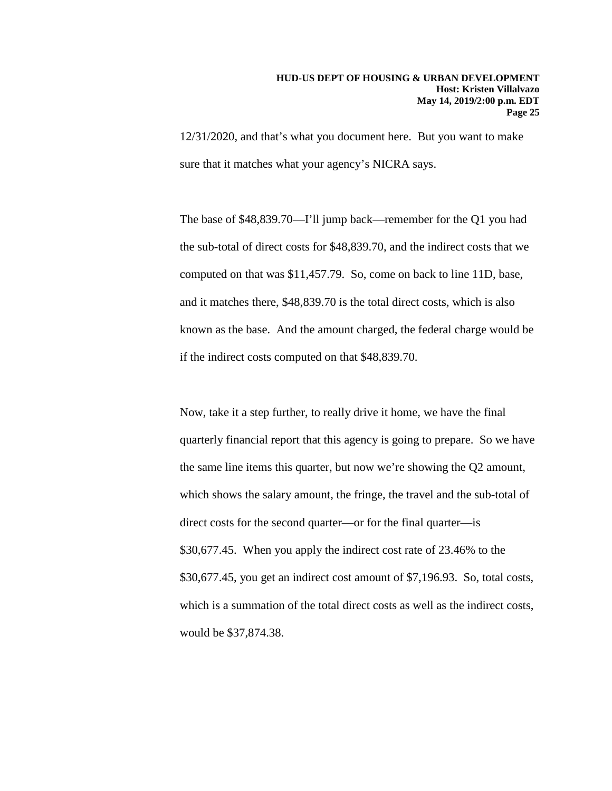12/31/2020, and that's what you document here. But you want to make sure that it matches what your agency's NICRA says.

The base of \$48,839.70—I'll jump back—remember for the Q1 you had the sub-total of direct costs for \$48,839.70, and the indirect costs that we computed on that was \$11,457.79. So, come on back to line 11D, base, and it matches there, \$48,839.70 is the total direct costs, which is also known as the base. And the amount charged, the federal charge would be if the indirect costs computed on that \$48,839.70.

Now, take it a step further, to really drive it home, we have the final quarterly financial report that this agency is going to prepare. So we have the same line items this quarter, but now we're showing the Q2 amount, which shows the salary amount, the fringe, the travel and the sub-total of direct costs for the second quarter—or for the final quarter—is \$30,677.45. When you apply the indirect cost rate of 23.46% to the \$30,677.45, you get an indirect cost amount of \$7,196.93. So, total costs, which is a summation of the total direct costs as well as the indirect costs, would be \$37,874.38.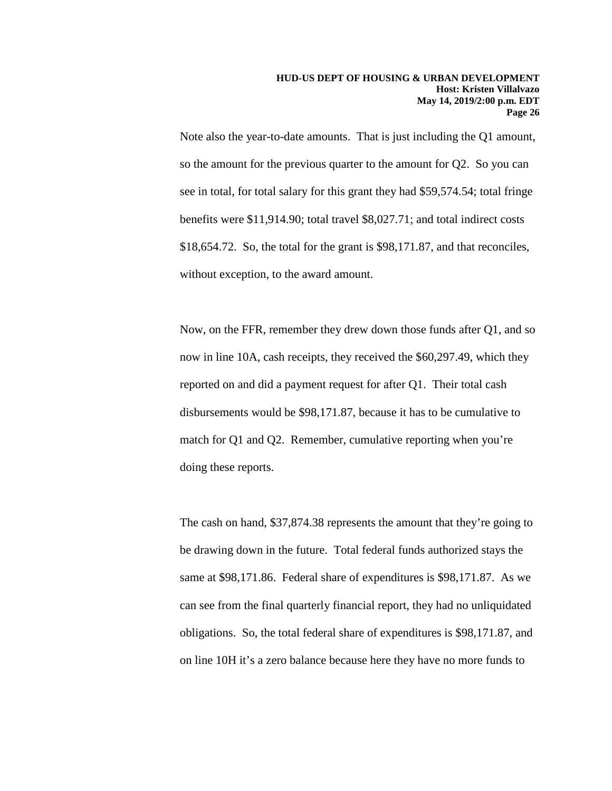Note also the year-to-date amounts. That is just including the Q1 amount, so the amount for the previous quarter to the amount for Q2. So you can see in total, for total salary for this grant they had \$59,574.54; total fringe benefits were \$11,914.90; total travel \$8,027.71; and total indirect costs \$18,654.72. So, the total for the grant is \$98,171.87, and that reconciles, without exception, to the award amount.

Now, on the FFR, remember they drew down those funds after Q1, and so now in line 10A, cash receipts, they received the \$60,297.49, which they reported on and did a payment request for after Q1. Their total cash disbursements would be \$98,171.87, because it has to be cumulative to match for Q1 and Q2. Remember, cumulative reporting when you're doing these reports.

The cash on hand, \$37,874.38 represents the amount that they're going to be drawing down in the future. Total federal funds authorized stays the same at \$98,171.86. Federal share of expenditures is \$98,171.87. As we can see from the final quarterly financial report, they had no unliquidated obligations. So, the total federal share of expenditures is \$98,171.87, and on line 10H it's a zero balance because here they have no more funds to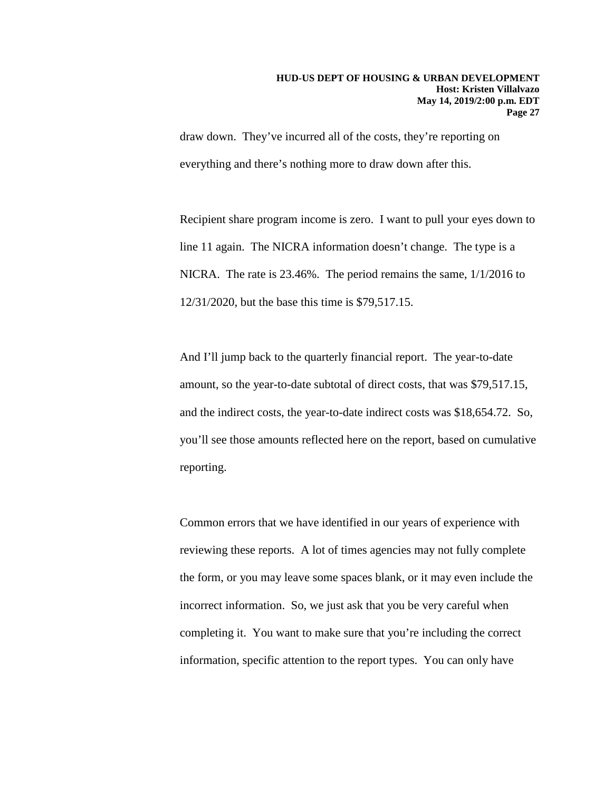draw down. They've incurred all of the costs, they're reporting on everything and there's nothing more to draw down after this.

Recipient share program income is zero. I want to pull your eyes down to line 11 again. The NICRA information doesn't change. The type is a NICRA. The rate is 23.46%. The period remains the same, 1/1/2016 to 12/31/2020, but the base this time is \$79,517.15.

And I'll jump back to the quarterly financial report. The year-to-date amount, so the year-to-date subtotal of direct costs, that was \$79,517.15, and the indirect costs, the year-to-date indirect costs was \$18,654.72. So, you'll see those amounts reflected here on the report, based on cumulative reporting.

Common errors that we have identified in our years of experience with reviewing these reports. A lot of times agencies may not fully complete the form, or you may leave some spaces blank, or it may even include the incorrect information. So, we just ask that you be very careful when completing it. You want to make sure that you're including the correct information, specific attention to the report types. You can only have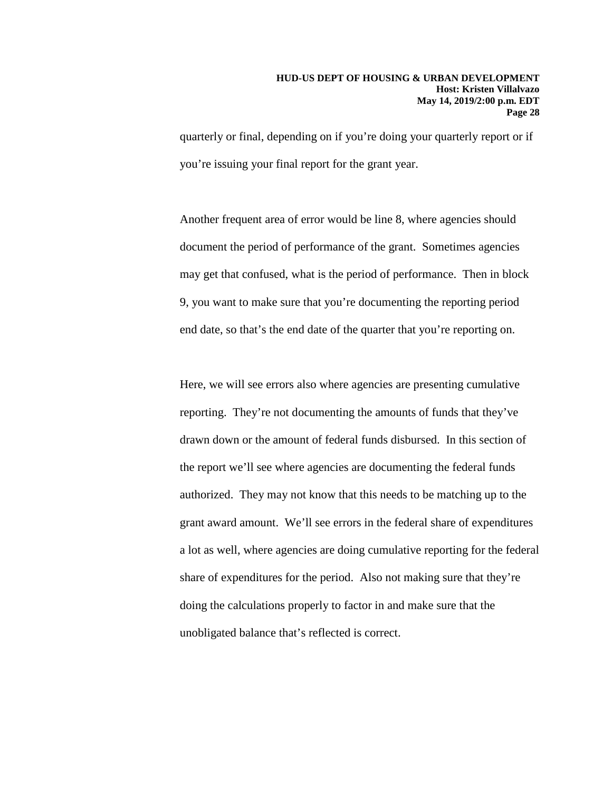quarterly or final, depending on if you're doing your quarterly report or if you're issuing your final report for the grant year.

Another frequent area of error would be line 8, where agencies should document the period of performance of the grant. Sometimes agencies may get that confused, what is the period of performance. Then in block 9, you want to make sure that you're documenting the reporting period end date, so that's the end date of the quarter that you're reporting on.

Here, we will see errors also where agencies are presenting cumulative reporting. They're not documenting the amounts of funds that they've drawn down or the amount of federal funds disbursed. In this section of the report we'll see where agencies are documenting the federal funds authorized. They may not know that this needs to be matching up to the grant award amount. We'll see errors in the federal share of expenditures a lot as well, where agencies are doing cumulative reporting for the federal share of expenditures for the period. Also not making sure that they're doing the calculations properly to factor in and make sure that the unobligated balance that's reflected is correct.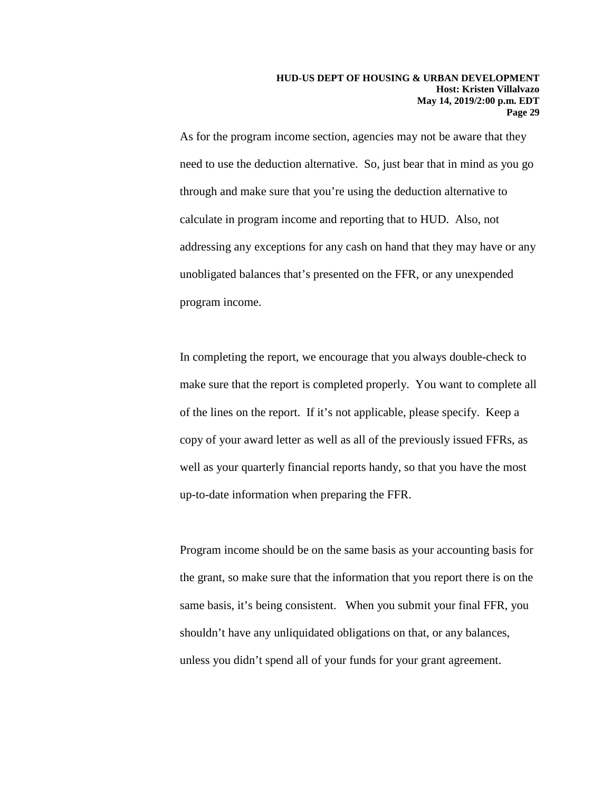As for the program income section, agencies may not be aware that they need to use the deduction alternative. So, just bear that in mind as you go through and make sure that you're using the deduction alternative to calculate in program income and reporting that to HUD. Also, not addressing any exceptions for any cash on hand that they may have or any unobligated balances that's presented on the FFR, or any unexpended program income.

In completing the report, we encourage that you always double-check to make sure that the report is completed properly. You want to complete all of the lines on the report. If it's not applicable, please specify. Keep a copy of your award letter as well as all of the previously issued FFRs, as well as your quarterly financial reports handy, so that you have the most up-to-date information when preparing the FFR.

Program income should be on the same basis as your accounting basis for the grant, so make sure that the information that you report there is on the same basis, it's being consistent. When you submit your final FFR, you shouldn't have any unliquidated obligations on that, or any balances, unless you didn't spend all of your funds for your grant agreement.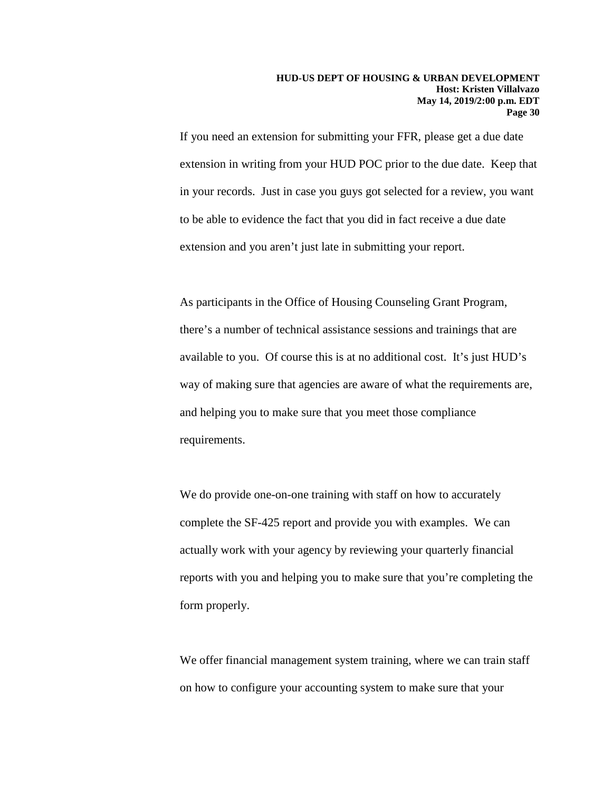If you need an extension for submitting your FFR, please get a due date extension in writing from your HUD POC prior to the due date. Keep that in your records. Just in case you guys got selected for a review, you want to be able to evidence the fact that you did in fact receive a due date extension and you aren't just late in submitting your report.

As participants in the Office of Housing Counseling Grant Program, there's a number of technical assistance sessions and trainings that are available to you. Of course this is at no additional cost. It's just HUD's way of making sure that agencies are aware of what the requirements are, and helping you to make sure that you meet those compliance requirements.

We do provide one-on-one training with staff on how to accurately complete the SF-425 report and provide you with examples. We can actually work with your agency by reviewing your quarterly financial reports with you and helping you to make sure that you're completing the form properly.

We offer financial management system training, where we can train staff on how to configure your accounting system to make sure that your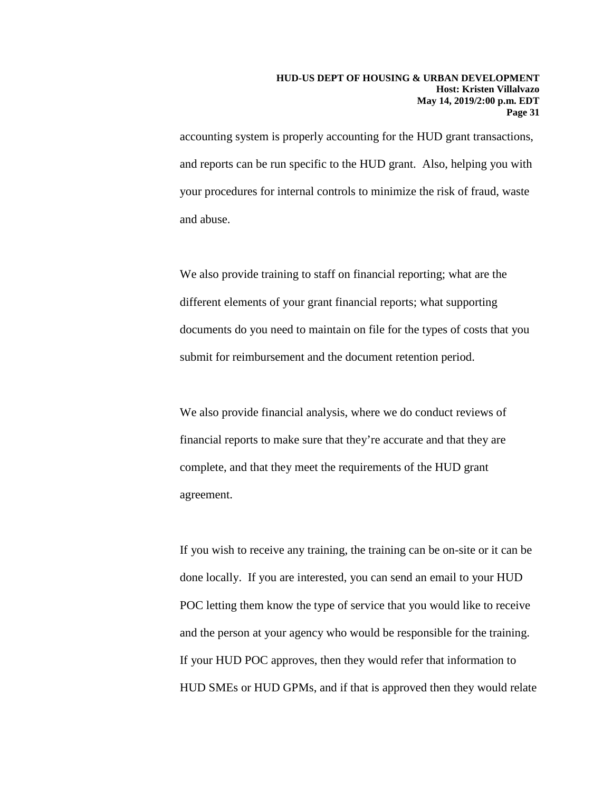accounting system is properly accounting for the HUD grant transactions, and reports can be run specific to the HUD grant. Also, helping you with your procedures for internal controls to minimize the risk of fraud, waste and abuse.

We also provide training to staff on financial reporting; what are the different elements of your grant financial reports; what supporting documents do you need to maintain on file for the types of costs that you submit for reimbursement and the document retention period.

We also provide financial analysis, where we do conduct reviews of financial reports to make sure that they're accurate and that they are complete, and that they meet the requirements of the HUD grant agreement.

If you wish to receive any training, the training can be on-site or it can be done locally. If you are interested, you can send an email to your HUD POC letting them know the type of service that you would like to receive and the person at your agency who would be responsible for the training. If your HUD POC approves, then they would refer that information to HUD SMEs or HUD GPMs, and if that is approved then they would relate